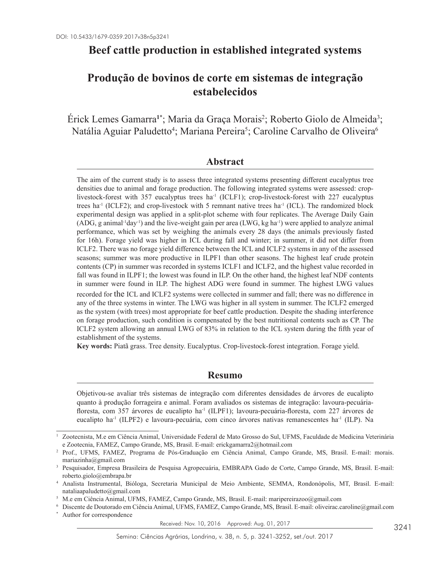# **Beef cattle production in established integrated systems**

# **Produção de bovinos de corte em sistemas de integração estabelecidos**

Erick Lemes Gamarra<sup>1\*</sup>; Maria da Graça Morais<sup>2</sup>; Roberto Giolo de Almeida<sup>3</sup>; Natália Aguiar Paludetto<sup>4</sup>; Mariana Pereira<sup>5</sup>; Caroline Carvalho de Oliveira<sup>6</sup>

# **Abstract**

The aim of the current study is to assess three integrated systems presenting different eucalyptus tree densities due to animal and forage production. The following integrated systems were assessed: croplivestock-forest with 357 eucalyptus trees ha<sup>-1</sup> (ICLF1); crop-livestock-forest with 227 eucalyptus trees ha<sup>-1</sup> (ICLF2); and crop-livestock with 5 remnant native trees ha<sup>-1</sup> (ICL). The randomized block experimental design was applied in a split-plot scheme with four replicates. The Average Daily Gain  $(ADG, g \text{ animal}^{-1}day^{-1})$  and the live-weight gain per area (LWG, kg ha<sup>-1</sup>) were applied to analyze animal performance, which was set by weighing the animals every 28 days (the animals previously fasted for 16h). Forage yield was higher in ICL during fall and winter; in summer, it did not differ from ICLF2. There was no forage yield difference between the ICL and ICLF2 systems in any of the assessed seasons; summer was more productive in ILPF1 than other seasons. The highest leaf crude protein contents (CP) in summer was recorded in systems ICLF1 and ICLF2, and the highest value recorded in fall was found in ILPF1; the lowest was found in ILP. On the other hand, the highest leaf NDF contents in summer were found in ILP. The highest ADG were found in summer. The highest LWG values recorded for the ICL and ICLF2 systems were collected in summer and fall; there was no difference in any of the three systems in winter. The LWG was higher in all system in summer. The ICLF2 emerged as the system (with trees) most appropriate for beef cattle production. Despite the shading interference on forage production, such condition is compensated by the best nutritional contents such as CP. The ICLF2 system allowing an annual LWG of 83% in relation to the ICL system during the fifth year of establishment of the systems.

**Key words:** Piatã grass. Tree density. Eucalyptus. Crop-livestock-forest integration. Forage yield.

# **Resumo**

Objetivou-se avaliar três sistemas de integração com diferentes densidades de árvores de eucalipto quanto à produção forrageira e animal. Foram avaliados os sistemas de integração: lavoura-pecuáriafloresta, com 357 árvores de eucalipto ha-1 (ILPF1); lavoura-pecuária-floresta, com 227 árvores de eucalipto ha<sup>-1</sup> (ILPF2) e lavoura-pecuária, com cinco árvores nativas remanescentes ha<sup>-1</sup> (ILP). Na

Received: Nov. 10, 2016 Approved: Aug. 01, 2017

<sup>1</sup> Zootecnista, M.e em Ciência Animal, Universidade Federal de Mato Grosso do Sul, UFMS, Faculdade de Medicina Veterinária e Zootecnia, FAMEZ, Campo Grande, MS, Brasil. E-mail: erickgamarra2@hotmail.com

<sup>2</sup> Prof., UFMS, FAMEZ, Programa de Pós-Graduação em Ciência Animal, Campo Grande, MS, Brasil. E-mail: morais. mariazinha@gmail.com

<sup>3</sup> Pesquisador, Empresa Brasileira de Pesquisa Agropecuária, EMBRAPA Gado de Corte, Campo Grande, MS, Brasil. E-mail: roberto.giolo@embrapa.br

<sup>4</sup> Analista Instrumental, Bióloga, Secretaria Municipal de Meio Ambiente, SEMMA, Rondonópolis, MT, Brasil. E-mail: nataliaapaludetto@gmail.com

<sup>5</sup> M.e em Ciência Animal, UFMS, FAMEZ, Campo Grande, MS, Brasil. E-mail: maripereirazoo@gmail.com

<sup>6</sup> Discente de Doutorado em Ciência Animal, UFMS, FAMEZ, Campo Grande, MS, Brasil. E-mail: oliveirac.caroline@gmail.com

Author for correspondence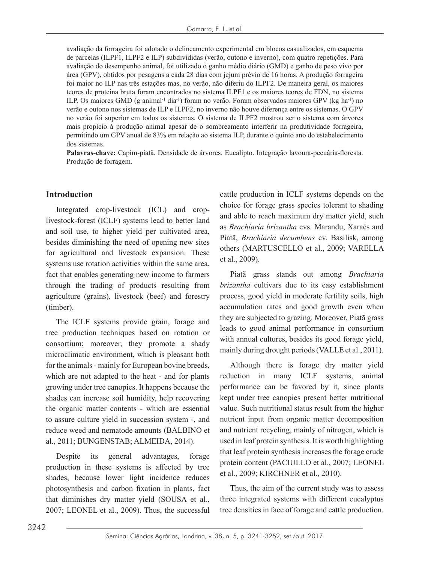avaliação da forrageira foi adotado o delineamento experimental em blocos casualizados, em esquema de parcelas (ILPF1, ILPF2 e ILP) subdivididas (verão, outono e inverno), com quatro repetições. Para avaliação do desempenho animal, foi utilizado o ganho médio diário (GMD) e ganho de peso vivo por área (GPV), obtidos por pesagens a cada 28 dias com jejum prévio de 16 horas. A produção forrageira foi maior no ILP nas três estações mas, no verão, não diferiu do ILPF2. De maneira geral, os maiores teores de proteína bruta foram encontrados no sistema ILPF1 e os maiores teores de FDN, no sistema ILP. Os maiores GMD (g animal<sup>-1</sup> dia<sup>-1</sup>) foram no verão. Foram observados maiores GPV (kg ha<sup>-1</sup>) no verão e outono nos sistemas de ILP e ILPF2, no inverno não houve diferença entre os sistemas. O GPV no verão foi superior em todos os sistemas. O sistema de ILPF2 mostrou ser o sistema com árvores mais propício à produção animal apesar de o sombreamento interferir na produtividade forrageira, permitindo um GPV anual de 83% em relação ao sistema ILP, durante o quinto ano do estabelecimento dos sistemas.

**Palavras-chave:** Capim-piatã. Densidade de árvores. Eucalipto. Integração lavoura-pecuária-floresta. Produção de forragem.

#### **Introduction**

Integrated crop-livestock (ICL) and croplivestock-forest (ICLF) systems lead to better land and soil use, to higher yield per cultivated area, besides diminishing the need of opening new sites for agricultural and livestock expansion. These systems use rotation activities within the same area, fact that enables generating new income to farmers through the trading of products resulting from agriculture (grains), livestock (beef) and forestry (timber).

The ICLF systems provide grain, forage and tree production techniques based on rotation or consortium; moreover, they promote a shady microclimatic environment, which is pleasant both for the animals - mainly for European bovine breeds, which are not adapted to the heat - and for plants growing under tree canopies. It happens because the shades can increase soil humidity, help recovering the organic matter contents - which are essential to assure culture yield in succession system -, and reduce weed and nematode amounts (BALBINO et al., 2011; BUNGENSTAB; ALMEIDA, 2014).

Despite its general advantages, forage production in these systems is affected by tree shades, because lower light incidence reduces photosynthesis and carbon fixation in plants, fact that diminishes dry matter yield (SOUSA et al., 2007; LEONEL et al., 2009). Thus, the successful

cattle production in ICLF systems depends on the choice for forage grass species tolerant to shading and able to reach maximum dry matter yield, such as *Brachiaria brizantha* cvs. Marandu, Xaraés and Piatã, *Brachiaria decumbens* cv. Basilisk, among others (MARTUSCELLO et al., 2009; VARELLA et al., 2009).

Piatã grass stands out among *Brachiaria brizantha* cultivars due to its easy establishment process, good yield in moderate fertility soils, high accumulation rates and good growth even when they are subjected to grazing. Moreover, Piatã grass leads to good animal performance in consortium with annual cultures, besides its good forage yield, mainly during drought periods (VALLE et al., 2011).

Although there is forage dry matter yield reduction in many ICLF systems, animal performance can be favored by it, since plants kept under tree canopies present better nutritional value. Such nutritional status result from the higher nutrient input from organic matter decomposition and nutrient recycling, mainly of nitrogen, which is used in leaf protein synthesis. It is worth highlighting that leaf protein synthesis increases the forage crude protein content (PACIULLO et al., 2007; LEONEL et al., 2009; KIRCHNER et al., 2010).

Thus, the aim of the current study was to assess three integrated systems with different eucalyptus tree densities in face of forage and cattle production.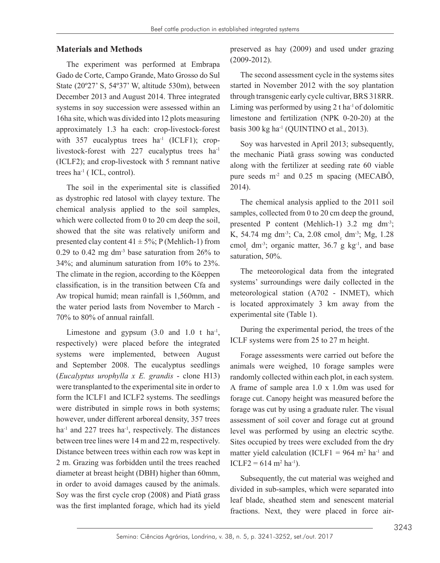#### **Materials and Methods**

The experiment was performed at Embrapa Gado de Corte, Campo Grande, Mato Grosso do Sul State (20º27' S, 54º37' W, altitude 530m), between December 2013 and August 2014. Three integrated systems in soy succession were assessed within an 16ha site, which was divided into 12 plots measuring approximately 1.3 ha each: crop-livestock-forest with  $357$  eucalyptus trees ha<sup>-1</sup> (ICLF1); croplivestock-forest with 227 eucalyptus trees ha<sup>-1</sup> (ICLF2); and crop-livestock with 5 remnant native trees ha-1 ( ICL, control).

The soil in the experimental site is classified as dystrophic red latosol with clayey texture. The chemical analysis applied to the soil samples, which were collected from 0 to 20 cm deep the soil, showed that the site was relatively uniform and presented clay content  $41 \pm 5\%$ ; P (Mehlich-1) from 0.29 to 0.42 mg dm<sup>-3</sup> base saturation from  $26\%$  to 34%; and aluminum saturation from 10% to 23%. The climate in the region, according to the Köeppen classification, is in the transition between Cfa and Aw tropical humid; mean rainfall is 1,560mm, and the water period lasts from November to March - 70% to 80% of annual rainfall.

Limestone and gypsum  $(3.0 \text{ and } 1.0 \text{ t} \text{ ha}^{-1})$ , respectively) were placed before the integrated systems were implemented, between August and September 2008. The eucalyptus seedlings (*Eucalyptus urophylla x E. grandis* - clone H13) were transplanted to the experimental site in order to form the ICLF1 and ICLF2 systems. The seedlings were distributed in simple rows in both systems; however, under different arboreal density, 357 trees ha<sup>-1</sup> and 227 trees ha<sup>-1</sup>, respectively. The distances between tree lines were 14 m and 22 m, respectively. Distance between trees within each row was kept in 2 m. Grazing was forbidden until the trees reached diameter at breast height (DBH) higher than 60mm, in order to avoid damages caused by the animals. Soy was the first cycle crop (2008) and Piatã grass was the first implanted forage, which had its yield preserved as hay (2009) and used under grazing (2009-2012).

The second assessment cycle in the systems sites started in November 2012 with the soy plantation through transgenic early cycle cultivar, BRS 318RR. Liming was performed by using  $2$  t ha<sup>-1</sup> of dolomitic limestone and fertilization (NPK 0-20-20) at the basis  $300 \text{ kg}$  ha<sup>-1</sup> (QUINTINO et al., 2013).

Soy was harvested in April 2013; subsequently, the mechanic Piatã grass sowing was conducted along with the fertilizer at seeding rate 60 viable pure seeds  $m<sup>2</sup>$  and 0.25 m spacing (MECABÔ, 2014).

The chemical analysis applied to the 2011 soil samples, collected from 0 to 20 cm deep the ground, presented P content (Mehlich-1) 3.2 mg dm-3; K, 54.74 mg dm<sup>-3</sup>; Ca, 2.08 cmol<sub>c</sub> dm<sup>-3</sup>; Mg, 1.28 cmol<sub>c</sub> dm<sup>-3</sup>; organic matter, 36.7 g kg<sup>-1</sup>, and base saturation, 50%.

The meteorological data from the integrated systems' surroundings were daily collected in the meteorological station (A702 - INMET), which is located approximately 3 km away from the experimental site (Table 1).

During the experimental period, the trees of the ICLF systems were from 25 to 27 m height.

Forage assessments were carried out before the animals were weighed, 10 forage samples were randomly collected within each plot, in each system. A frame of sample area 1.0 x 1.0m was used for forage cut. Canopy height was measured before the forage was cut by using a graduate ruler. The visual assessment of soil cover and forage cut at ground level was performed by using an electric scythe. Sites occupied by trees were excluded from the dry matter yield calculation (ICLF1 =  $964 \text{ m}^2$  ha<sup>-1</sup> and  $ICLF2 = 614 \text{ m}^2 \text{ ha}^1$ .

Subsequently, the cut material was weighed and divided in sub-samples, which were separated into leaf blade, sheathed stem and senescent material fractions. Next, they were placed in force air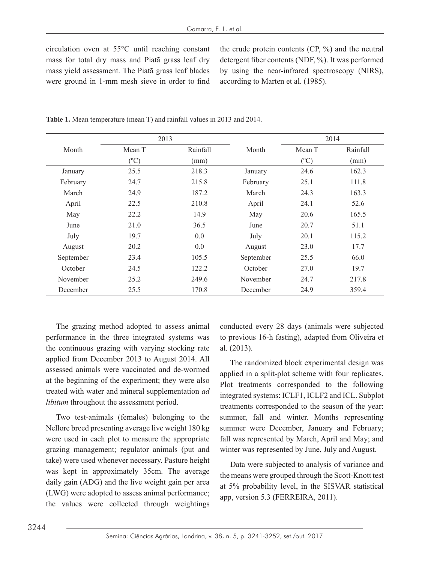circulation oven at 55°C until reaching constant mass for total dry mass and Piatã grass leaf dry mass yield assessment. The Piatã grass leaf blades were ground in 1-mm mesh sieve in order to find the crude protein contents (CP, %) and the neutral detergent fiber contents (NDF, %). It was performed by using the near-infrared spectroscopy (NIRS), according to Marten et al. (1985).

| 2013      |               |          | 2014      |               |          |
|-----------|---------------|----------|-----------|---------------|----------|
| Month     | Mean T        | Rainfall | Month     | Mean T        | Rainfall |
|           | $(^{\circ}C)$ | (mm)     |           | $(^{\circ}C)$ | (mm)     |
| January   | 25.5          | 218.3    | January   | 24.6          | 162.3    |
| February  | 24.7          | 215.8    | February  | 25.1          | 111.8    |
| March     | 24.9          | 187.2    | March     | 24.3          | 163.3    |
| April     | 22.5          | 210.8    | April     | 24.1          | 52.6     |
| May       | 22.2          | 14.9     | May       | 20.6          | 165.5    |
| June      | 21.0          | 36.5     | June      | 20.7          | 51.1     |
| July      | 19.7          | 0.0      | July      | 20.1          | 115.2    |
| August    | 20.2          | 0.0      | August    | 23.0          | 17.7     |
| September | 23.4          | 105.5    | September | 25.5          | 66.0     |
| October   | 24.5          | 122.2    | October   | 27.0          | 19.7     |
| November  | 25.2          | 249.6    | November  | 24.7          | 217.8    |
| December  | 25.5          | 170.8    | December  | 24.9          | 359.4    |

**Table 1.** Mean temperature (mean T) and rainfall values in 2013 and 2014.

The grazing method adopted to assess animal performance in the three integrated systems was the continuous grazing with varying stocking rate applied from December 2013 to August 2014. All assessed animals were vaccinated and de-wormed at the beginning of the experiment; they were also treated with water and mineral supplementation *ad libitum* throughout the assessment period.

Two test-animals (females) belonging to the Nellore breed presenting average live weight 180 kg were used in each plot to measure the appropriate grazing management; regulator animals (put and take) were used whenever necessary. Pasture height was kept in approximately 35cm. The average daily gain (ADG) and the live weight gain per area (LWG) were adopted to assess animal performance; the values were collected through weightings conducted every 28 days (animals were subjected to previous 16-h fasting), adapted from Oliveira et al. (2013).

The randomized block experimental design was applied in a split-plot scheme with four replicates. Plot treatments corresponded to the following integrated systems: ICLF1, ICLF2 and ICL. Subplot treatments corresponded to the season of the year: summer, fall and winter. Months representing summer were December, January and February; fall was represented by March, April and May; and winter was represented by June, July and August.

Data were subjected to analysis of variance and the means were grouped through the Scott-Knott test at 5% probability level, in the SISVAR statistical app, version 5.3 (FERREIRA, 2011).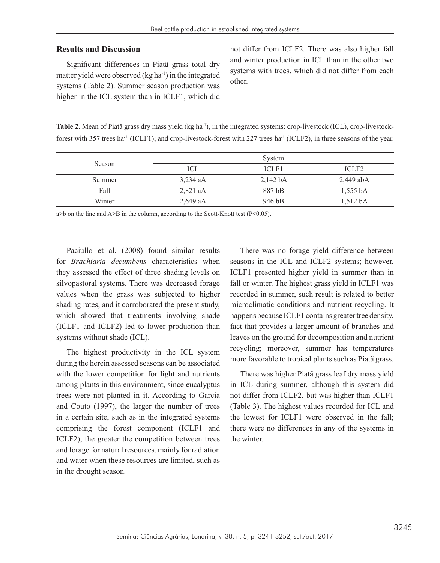#### **Results and Discussion**

Significant differences in Piatã grass total dry matter yield were observed  $(kg ha<sup>-1</sup>)$  in the integrated systems (Table 2). Summer season production was higher in the ICL system than in ICLF1, which did not differ from ICLF2. There was also higher fall and winter production in ICL than in the other two systems with trees, which did not differ from each other.

**Table 2.** Mean of Piatã grass dry mass yield (kg ha<sup>-1</sup>), in the integrated systems: crop-livestock (ICL), crop-livestockforest with 357 trees ha<sup>-1</sup> (ICLF1); and crop-livestock-forest with 227 trees ha<sup>-1</sup> (ICLF2), in three seasons of the year.

| Season |            | System               |                    |
|--------|------------|----------------------|--------------------|
|        | ICL        | ICLF1                | ICLF <sub>2</sub>  |
| Summer | $3,234$ aA | $2,142\,\mathrm{b}A$ | 2,449 abA          |
| Fall   | $2,821$ aA | 887 bB               | $1,555 \text{ bA}$ |
| Winter | $2,649$ aA | 946 bB               | $1,512\text{ bA}$  |

 $a$ >b on the line and A>B in the column, according to the Scott-Knott test (P<0.05).

Paciullo et al. (2008) found similar results for *Brachiaria decumbens* characteristics when they assessed the effect of three shading levels on silvopastoral systems. There was decreased forage values when the grass was subjected to higher shading rates, and it corroborated the present study, which showed that treatments involving shade (ICLF1 and ICLF2) led to lower production than systems without shade (ICL).

The highest productivity in the ICL system during the herein assessed seasons can be associated with the lower competition for light and nutrients among plants in this environment, since eucalyptus trees were not planted in it. According to Garcia and Couto (1997), the larger the number of trees in a certain site, such as in the integrated systems comprising the forest component (ICLF1 and ICLF2), the greater the competition between trees and forage for natural resources, mainly for radiation and water when these resources are limited, such as in the drought season.

There was no forage yield difference between seasons in the ICL and ICLF2 systems; however, ICLF1 presented higher yield in summer than in fall or winter. The highest grass yield in ICLF1 was recorded in summer, such result is related to better microclimatic conditions and nutrient recycling. It happens because ICLF1 contains greater tree density, fact that provides a larger amount of branches and leaves on the ground for decomposition and nutrient recycling; moreover, summer has temperatures more favorable to tropical plants such as Piatã grass.

There was higher Piatã grass leaf dry mass yield in ICL during summer, although this system did not differ from ICLF2, but was higher than ICLF1 (Table 3). The highest values recorded for ICL and the lowest for ICLF1 were observed in the fall; there were no differences in any of the systems in the winter.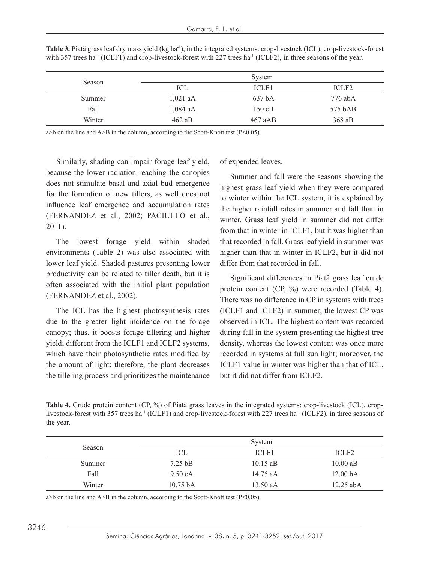| Season |            | System    |                   |
|--------|------------|-----------|-------------------|
|        | ICL        | ICLF1     | ICLF <sub>2</sub> |
| Summer | $1,021$ aA | 637 bA    | 776 abA           |
| Fall   | $1,084$ aA | $150$ cB  | 575 bAB           |
| Winter | 462 aB     | $467$ aAB | $368$ aB          |

**Table 3.** Piatã grass leaf dry mass yield (kg ha<sup>-1</sup>), in the integrated systems: crop-livestock (ICL), crop-livestock-forest with 357 trees ha<sup>-1</sup> (ICLF1) and crop-livestock-forest with 227 trees ha<sup>-1</sup> (ICLF2), in three seasons of the year.

 $a$ >b on the line and A>B in the column, according to the Scott-Knott test (P<0.05).

Similarly, shading can impair forage leaf yield, because the lower radiation reaching the canopies does not stimulate basal and axial bud emergence for the formation of new tillers, as well does not influence leaf emergence and accumulation rates (FERNÁNDEZ et al., 2002; PACIULLO et al., 2011).

The lowest forage yield within shaded environments (Table 2) was also associated with lower leaf yield. Shaded pastures presenting lower productivity can be related to tiller death, but it is often associated with the initial plant population (FERNÁNDEZ et al., 2002).

The ICL has the highest photosynthesis rates due to the greater light incidence on the forage canopy; thus, it boosts forage tillering and higher yield; different from the ICLF1 and ICLF2 systems, which have their photosynthetic rates modified by the amount of light; therefore, the plant decreases the tillering process and prioritizes the maintenance of expended leaves.

Summer and fall were the seasons showing the highest grass leaf yield when they were compared to winter within the ICL system, it is explained by the higher rainfall rates in summer and fall than in winter. Grass leaf yield in summer did not differ from that in winter in ICLF1, but it was higher than that recorded in fall. Grass leaf yield in summer was higher than that in winter in ICLF2, but it did not differ from that recorded in fall.

Significant differences in Piatã grass leaf crude protein content (CP, %) were recorded (Table 4). There was no difference in CP in systems with trees (ICLF1 and ICLF2) in summer; the lowest CP was observed in ICL. The highest content was recorded during fall in the system presenting the highest tree density, whereas the lowest content was once more recorded in systems at full sun light; moreover, the ICLF1 value in winter was higher than that of ICL, but it did not differ from ICLF2.

**Table 4.** Crude protein content (CP, %) of Piatã grass leaves in the integrated systems: crop-livestock (ICL), croplivestock-forest with 357 trees ha<sup>-1</sup> (ICLF1) and crop-livestock-forest with 227 trees ha<sup>-1</sup> (ICLF2), in three seasons of the year.

| Season |                    | System     |                     |
|--------|--------------------|------------|---------------------|
|        | ICL                | ICLF1      | ICLF <sub>2</sub>   |
| Summer | $7.25$ bB          | $10.15$ aB | $10.00$ aB          |
| Fall   | 9.50 cA            | 14.75 aA   | 12.00 <sub>bA</sub> |
| Winter | $10.75 \text{ hA}$ | $13.50$ aA | $12.25$ abA         |

 $a > b$  on the line and  $A > B$  in the column, according to the Scott-Knott test (P<0.05).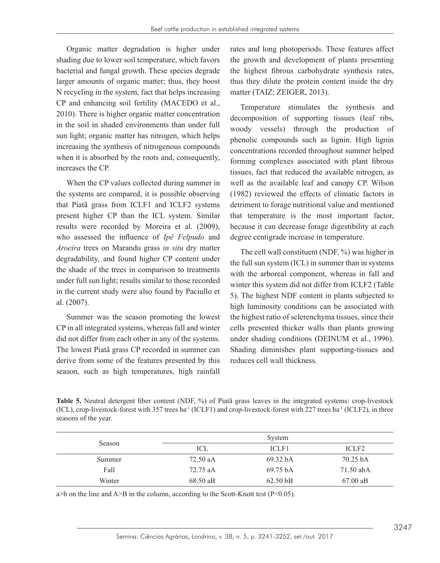Organic matter degradation is higher under shading due to lower soil temperature, which favors bacterial and fungal growth. These species degrade larger amounts of organic matter; thus, they boost N recycling in the system, fact that helps increasing CP and enhancing soil fertility (MACEDO et al., 2010). There is higher organic matter concentration in the soil in shaded environments than under full sun light; organic matter has nitrogen, which helps increasing the synthesis of nitrogenous compounds when it is absorbed by the roots and, consequently, increases the CP.

When the CP values collected during summer in the systems are compared, it is possible observing that Piatã grass from ICLF1 and ICLF2 systems present higher CP than the ICL system. Similar results were recorded by Moreira et al. (2009), who assessed the influence of *Ipê Felpudo* and *Aroeira* trees on Marandu grass *in situ* dry matter degradability*,* and found higher CP content under the shade of the trees in comparison to treatments under full sun light; results similar to those recorded in the current study were also found by Paciullo et al. (2007).

Summer was the season promoting the lowest CP in all integrated systems, whereas fall and winter did not differ from each other in any of the systems. The lowest Piatã grass CP recorded in summer can derive from some of the features presented by this season, such as high temperatures, high rainfall rates and long photoperiods. These features affect the growth and development of plants presenting the highest fibrous carbohydrate synthesis rates, thus they dilute the protein content inside the dry matter (TAIZ; ZEIGER, 2013).

Temperature stimulates the synthesis and decomposition of supporting tissues (leaf ribs, woody vessels) through the production of phenolic compounds such as lignin. High lignin concentrations recorded throughout summer helped forming complexes associated with plant fibrous tissues, fact that reduced the available nitrogen, as well as the available leaf and canopy CP. Wilson (1982) reviewed the effects of climatic factors in detriment to forage nutritional value and mentioned that temperature is the most important factor, because it can decrease forage digestibility at each degree centigrade increase in temperature.

The cell wall constituent (NDF, %) was higher in the full sun system (ICL) in summer than in systems with the arboreal component, whereas in fall and winter this system did not differ from ICLF2 (Table 5). The highest NDF content in plants subjected to high luminosity conditions can be associated with the highest ratio of sclerenchyma tissues, since their cells presented thicker walls than plants growing under shading conditions (DEINUM et al., 1996). Shading diminishes plant supporting-tissues and reduces cell wall thickness.

**Table 5.** Neutral detergent fiber content (NDF, %) of Piatã grass leaves in the integrated systems: crop-livestock  $(ICL)$ , crop-livestock-forest with 357 trees ha<sup>-1</sup> (ICLF1) and crop-livestock-forest with 227 trees ha<sup>-1</sup> (ICLF2), in three seasons of the year.

| Season | System   |                     |                    |
|--------|----------|---------------------|--------------------|
|        | ICL      | ICLF1               | ICLF <sub>2</sub>  |
| Summer | 72.50 aA | 69.32 <sub>bA</sub> | $70.25 \text{ bA}$ |
| Fall   | 72.75 aA | 69.75 bA            | 71.50 abA          |
| Winter | 68.50 aB | $62.50 \text{ bB}$  | $67.00 \text{ aB}$ |

 $a$  $>$ b on the line and A $>$ B in the column, according to the Scott-Knott test (P $<$ 0.05).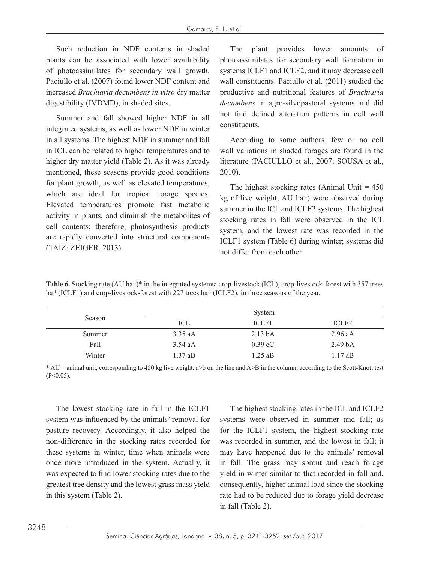Such reduction in NDF contents in shaded plants can be associated with lower availability of photoassimilates for secondary wall growth. Paciullo et al. (2007) found lower NDF content and increased *Brachiaria decumbens in vitro* dry matter digestibility (IVDMD), in shaded sites.

Summer and fall showed higher NDF in all integrated systems, as well as lower NDF in winter in all systems. The highest NDF in summer and fall in ICL can be related to higher temperatures and to higher dry matter yield (Table 2). As it was already mentioned, these seasons provide good conditions for plant growth, as well as elevated temperatures, which are ideal for tropical forage species. Elevated temperatures promote fast metabolic activity in plants, and diminish the metabolites of cell contents; therefore, photosynthesis products are rapidly converted into structural components (TAIZ; ZEIGER, 2013).

The plant provides lower amounts of photoassimilates for secondary wall formation in systems ICLF1 and ICLF2, and it may decrease cell wall constituents. Paciullo et al. (2011) studied the productive and nutritional features of *Brachiaria decumbens* in agro-silvopastoral systems and did not find defined alteration patterns in cell wall constituents.

According to some authors, few or no cell wall variations in shaded forages are found in the literature (PACIULLO et al., 2007; SOUSA et al., 2010).

The highest stocking rates (Animal Unit  $= 450$ ) kg of live weight,  $AU$  ha<sup>-1</sup>) were observed during summer in the ICL and ICLF2 systems. The highest stocking rates in fall were observed in the ICL system, and the lowest rate was recorded in the ICLF1 system (Table 6) during winter; systems did not differ from each other.

**Table 6.** Stocking rate (AU ha<sup>-1)\*</sup> in the integrated systems: crop-livestock (ICL), crop-livestock-forest with 357 trees  $ha<sup>-1</sup>$  (ICLF1) and crop-livestock-forest with 227 trees  $ha<sup>-1</sup>$  (ICLF2), in three seasons of the year.

| Season |           | System             |                    |
|--------|-----------|--------------------|--------------------|
|        | ICL       | ICLF1              | ICLF <sub>2</sub>  |
| Summer | $3.35$ aA | 2.13 <sub>bA</sub> | $2.96$ aA          |
| Fall   | $3.54$ aA | $0.39 \text{ cC}$  | 2.49 <sub>bA</sub> |
| Winter | $1.37$ aB | $1.25$ aB          | $1.17$ aB          |

\* AU = animal unit, corresponding to 450 kg live weight. a>b on the line and A>B in the column, according to the Scott-Knott test  $(P<0.05)$ .

The lowest stocking rate in fall in the ICLF1 system was influenced by the animals' removal for pasture recovery. Accordingly, it also helped the non-difference in the stocking rates recorded for these systems in winter, time when animals were once more introduced in the system. Actually, it was expected to find lower stocking rates due to the greatest tree density and the lowest grass mass yield in this system (Table 2).

The highest stocking rates in the ICL and ICLF2 systems were observed in summer and fall; as for the ICLF1 system, the highest stocking rate was recorded in summer, and the lowest in fall; it may have happened due to the animals' removal in fall. The grass may sprout and reach forage yield in winter similar to that recorded in fall and, consequently, higher animal load since the stocking rate had to be reduced due to forage yield decrease in fall (Table 2).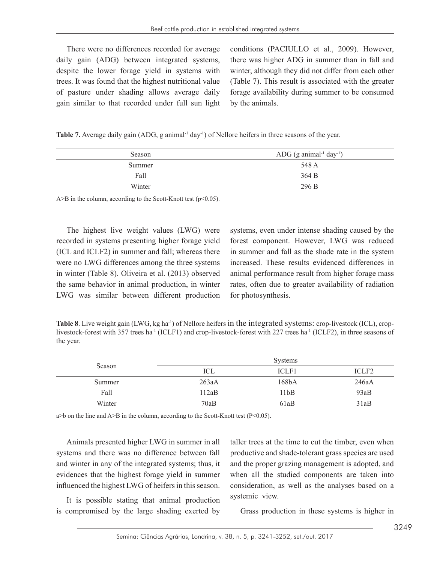There were no differences recorded for average daily gain (ADG) between integrated systems, despite the lower forage yield in systems with trees. It was found that the highest nutritional value of pasture under shading allows average daily gain similar to that recorded under full sun light conditions (PACIULLO et al., 2009). However, there was higher ADG in summer than in fall and winter, although they did not differ from each other (Table 7). This result is associated with the greater forage availability during summer to be consumed by the animals.

**Table 7.** Average daily gain (ADG, g animal<sup>-1</sup> day<sup>-1</sup>) of Nellore heifers in three seasons of the year.

| Season | ADG (g animal <sup>-1</sup> day <sup>-1</sup> ) |  |
|--------|-------------------------------------------------|--|
| Summer | 548 A                                           |  |
| Fall   | 364 B                                           |  |
| Winter | 296 B                                           |  |
|        |                                                 |  |

 $A>B$  in the column, according to the Scott-Knott test ( $p<0.05$ ).

The highest live weight values (LWG) were recorded in systems presenting higher forage yield (ICL and ICLF2) in summer and fall; whereas there were no LWG differences among the three systems in winter (Table 8). Oliveira et al. (2013) observed the same behavior in animal production, in winter LWG was similar between different production

systems, even under intense shading caused by the forest component. However, LWG was reduced in summer and fall as the shade rate in the system increased. These results evidenced differences in animal performance result from higher forage mass rates, often due to greater availability of radiation for photosynthesis.

**Table 8**. Live weight gain (LWG, kg ha<sup>-1</sup>) of Nellore heifers in the integrated systems: crop-livestock (ICL), croplivestock-forest with 357 trees ha<sup>-1</sup> (ICLF1) and crop-livestock-forest with 227 trees ha<sup>-1</sup> (ICLF2), in three seasons of the year.

| Season |       | <b>Systems</b>     |                   |
|--------|-------|--------------------|-------------------|
|        | ICL   | ICLF1              | ICLF <sub>2</sub> |
| Summer | 263aA | 168 <sub>b</sub> A | 246aA             |
| Fall   | 112aB | 11bB               | 93aB              |
| Winter | 70aB  | 61aB               | 31aB              |

 $a$ >b on the line and A>B in the column, according to the Scott-Knott test (P<0.05).

Animals presented higher LWG in summer in all systems and there was no difference between fall and winter in any of the integrated systems; thus, it evidences that the highest forage yield in summer influenced the highest LWG of heifers in this season.

It is possible stating that animal production is compromised by the large shading exerted by taller trees at the time to cut the timber, even when productive and shade-tolerant grass species are used and the proper grazing management is adopted, and when all the studied components are taken into consideration, as well as the analyses based on a systemic view.

Grass production in these systems is higher in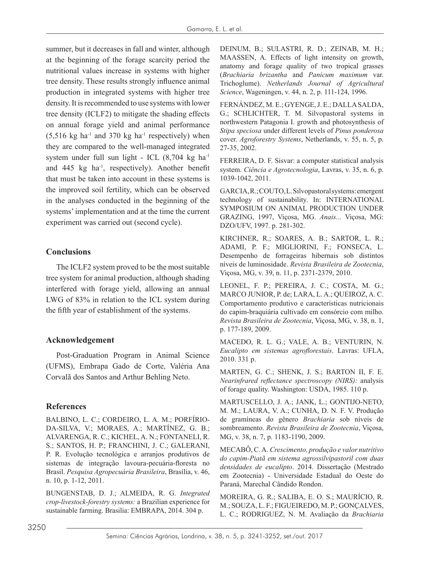summer, but it decreases in fall and winter, although at the beginning of the forage scarcity period the nutritional values increase in systems with higher tree density. These results strongly influence animal production in integrated systems with higher tree density. It is recommended to use systems with lower tree density (ICLF2) to mitigate the shading effects on annual forage yield and animal performance  $(5,516 \text{ kg ha}^{-1}$  and 370 kg ha<sup>-1</sup> respectively) when they are compared to the well-managed integrated system under full sun light - ICL  $(8,704 \text{ kg ha}^{-1})$ and 445 kg ha-1, respectively). Another benefit that must be taken into account in these systems is the improved soil fertility, which can be observed in the analyses conducted in the beginning of the systems' implementation and at the time the current experiment was carried out (second cycle).

## **Conclusions**

The ICLF2 system proved to be the most suitable tree system for animal production, although shading interfered with forage yield, allowing an annual LWG of 83% in relation to the ICL system during the fifth year of establishment of the systems.

## **Acknowledgement**

Post-Graduation Program in Animal Science (UFMS), Embrapa Gado de Corte, Valéria Ana Corvalã dos Santos and Arthur Behling Neto.

## **References**

BALBINO, L. C.; CORDEIRO, L. A. M.; PORFÍRIO-DA-SILVA, V.; MORAES, A.; MARTÍNEZ, G. B.; ALVARENGA, R. C.; KICHEL, A. N.; FONTANELI, R. S.; SANTOS, H. P.; FRANCHINI, J. C.; GALERANI, P. R. Evolução tecnológica e arranjos produtivos de sistemas de integração lavoura-pecuária-floresta no Brasil. *Pesquisa Agropecuária Brasileira*, Brasília, v. 46, n. 10, p. 1-12, 2011.

BUNGENSTAB, D. J.; ALMEIDA, R. G. *Integrated crop-livestock-forestry systems:* a Brazilian experience for sustainable farming. Brasilia: EMBRAPA, 2014. 304 p.

DEINUM, B.; SULASTRI, R. D.; ZEINAB, M. H.; MAASSEN, A. Effects of light intensity on growth, anatomy and forage quality of two tropical grasses (*Brachiaria brizantha* and *Panicum maximum* var. Trichoglume). *Netherlands Journal of Agricultural Science*, Wageningen, v. 44, n. 2, p. 111-124, 1996.

FERNÁNDEZ, M. E.; GYENGE, J. E.; DALLA SALDA, G.; SCHLICHTER, T. M. Silvopastoral systems in northwestern Patagonia I. growth and photosynthesis of *Stipa speciosa* under different levels of *Pinus ponderosa*  cover. *Agroforestry Systems*, Netherlands, v. 55, n. 5, p. 27-35, 2002.

FERREIRA, D. F. Sisvar: a computer statistical analysis system. *Ciência e Agrotecnologia*, Lavras, v. 35, n. 6, p. 1039-1042, 2011.

GARCIA, R.; COUTO, L. Silvopastoral systems: emergent technology of sustainability. In: INTERNATIONAL SYMPOSIUM ON ANIMAL PRODUCTION UNDER GRAZING, 1997, Viçosa, MG. *Anais...* Viçosa, MG: DZO/UFV, 1997. p. 281-302.

KIRCHNER, R.; SOARES, A. B.; SARTOR, L. R.; ADAMI, P. F.; MIGLIORINI, F.; FONSECA, L. Desempenho de forrageiras hibernais sob distintos níveis de luminosidade. *Revista Brasileira de Zootecnia*, Viçosa, MG, v. 39, n. 11, p. 2371-2379, 2010.

LEONEL, F. P.; PEREIRA, J. C.; COSTA, M. G.; MARCO JUNIOR, P. de; LARA, L. A.; QUEIROZ, A. C. Comportamento produtivo e características nutricionais do capim-braquiária cultivado em consórcio com milho. *Revista Brasileira de Zootecnia*, Viçosa, MG, v. 38, n. 1, p. 177-189, 2009.

MACEDO, R. L. G.; VALE, A. B.; VENTURIN, N. *Eucalipto em sistemas agroflorestais*. Lavras: UFLA, 2010. 331 p.

MARTEN, G. C.; SHENK, J. S.; BARTON II, F. E. *Nearinfrared reflectance spectroscopy (NIRS):* analysis of forage quality. Washington: USDA, 1985. 110 p.

MARTUSCELLO, J. A.; JANK, L.; GONTIJO-NETO, M. M.; LAURA, V. A.; CUNHA, D. N. F. V. Produção de gramíneas do gênero *Brachiaria* sob níveis de sombreamento. *Revista Brasileira de Zootecnia*, Viçosa, MG, v. 38, n. 7, p. 1183-1190, 2009.

MECABÔ, C. A. *Crescimento, produção e valor nutritivo do capim-Piatã em sistema agrossilvipastoril com duas densidades de eucalipto*. 2014. Dissertação (Mestrado em Zootecnia) - Universidade Estadual do Oeste do Paraná, Marechal Cândido Rondon.

MOREIRA, G. R.; SALIBA, E. O. S.; MAURÍCIO, R. M.; SOUZA, L. F.; FIGUEIREDO, M. P.; GONÇALVES, L. C.; RODRIGUEZ, N. M. Avaliação da *Brachiaria*